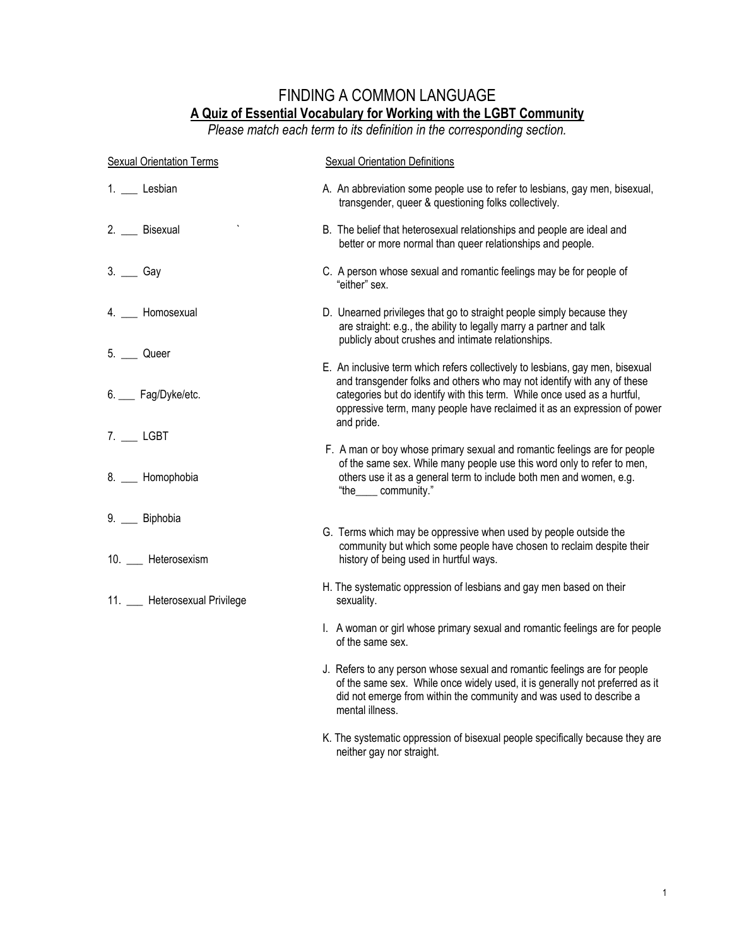## FINDING A COMMON LANGUAGE **A Quiz of Essential Vocabulary for Working with the LGBT Community**

*Please match each term to its definition in the corresponding section.*

| <b>Sexual Orientation Terms</b> | <b>Sexual Orientation Definitions</b>                                                                                                                                                                                                                                                                                          |
|---------------------------------|--------------------------------------------------------------------------------------------------------------------------------------------------------------------------------------------------------------------------------------------------------------------------------------------------------------------------------|
| 1. __ Lesbian                   | A. An abbreviation some people use to refer to lesbians, gay men, bisexual,<br>transgender, queer & questioning folks collectively.                                                                                                                                                                                            |
| 2. Bisexual                     | B. The belief that heterosexual relationships and people are ideal and<br>better or more normal than queer relationships and people.                                                                                                                                                                                           |
| 3. Gay                          | C. A person whose sexual and romantic feelings may be for people of<br>"either" sex.                                                                                                                                                                                                                                           |
| 4. Homosexual                   | D. Unearned privileges that go to straight people simply because they<br>are straight: e.g., the ability to legally marry a partner and talk<br>publicly about crushes and intimate relationships.                                                                                                                             |
| 5. ____ Queer                   |                                                                                                                                                                                                                                                                                                                                |
| 6. __ Fag/Dyke/etc.             | E. An inclusive term which refers collectively to lesbians, gay men, bisexual<br>and transgender folks and others who may not identify with any of these<br>categories but do identify with this term. While once used as a hurtful,<br>oppressive term, many people have reclaimed it as an expression of power<br>and pride. |
| 7. LGBT                         |                                                                                                                                                                                                                                                                                                                                |
| 8. __ Homophobia                | F. A man or boy whose primary sexual and romantic feelings are for people<br>of the same sex. While many people use this word only to refer to men,<br>others use it as a general term to include both men and women, e.g.<br>"the_____ community."                                                                            |
| 9. __ Biphobia                  |                                                                                                                                                                                                                                                                                                                                |
| 10. __ Heterosexism             | G. Terms which may be oppressive when used by people outside the<br>community but which some people have chosen to reclaim despite their<br>history of being used in hurtful ways.                                                                                                                                             |
| 11. __ Heterosexual Privilege   | H. The systematic oppression of lesbians and gay men based on their<br>sexuality.                                                                                                                                                                                                                                              |
|                                 | I. A woman or girl whose primary sexual and romantic feelings are for people<br>of the same sex.                                                                                                                                                                                                                               |
|                                 | J. Refers to any person whose sexual and romantic feelings are for people<br>of the same sex. While once widely used, it is generally not preferred as it<br>did not emerge from within the community and was used to describe a<br>mental illness.                                                                            |
|                                 | K. The systematic oppression of bisexual people specifically because they are                                                                                                                                                                                                                                                  |

neither gay nor straight.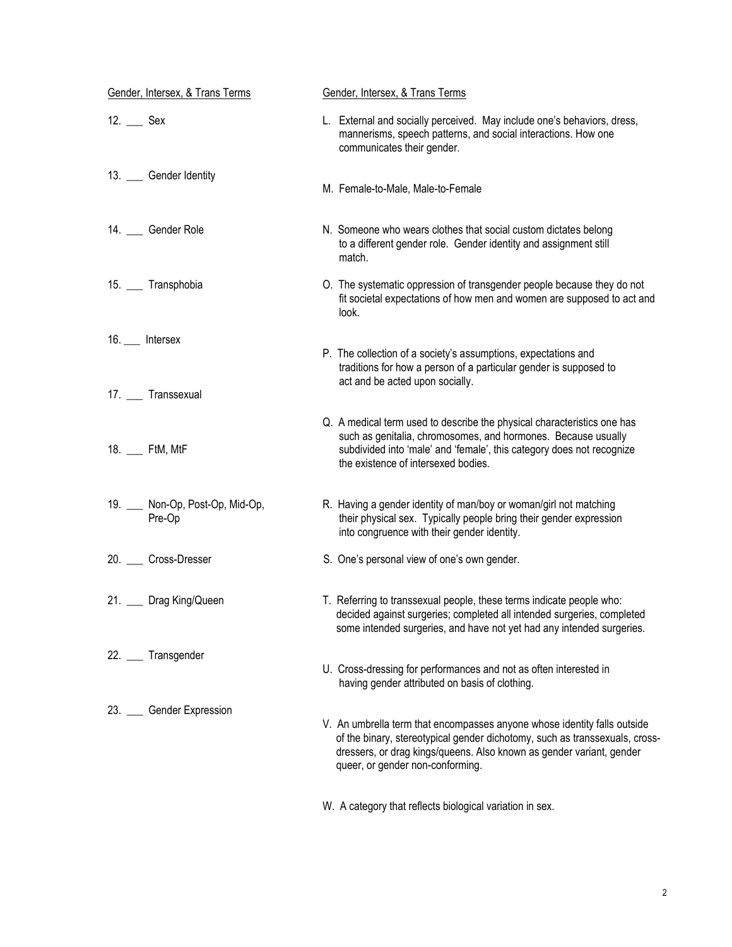| Gender, Intersex, & Trans Terms           | Gender, Intersex, & Trans Terms                                                                                                                                                                                                                                     |
|-------------------------------------------|---------------------------------------------------------------------------------------------------------------------------------------------------------------------------------------------------------------------------------------------------------------------|
| $12.$ Sex                                 | L. External and socially perceived. May include one's behaviors, dress,<br>mannerisms, speech patterns, and social interactions. How one<br>communicates their gender.                                                                                              |
| 13. Gender Identity                       | M. Female-to-Male, Male-to-Female                                                                                                                                                                                                                                   |
| 14. __ Gender Role                        | N. Someone who wears clothes that social custom dictates belong<br>to a different gender role. Gender identity and assignment still<br>match.                                                                                                                       |
| 15. __ Transphobia                        | O. The systematic oppression of transgender people because they do not<br>fit societal expectations of how men and women are supposed to act and<br>look.                                                                                                           |
| 16. __ Intersex                           | P. The collection of a society's assumptions, expectations and<br>traditions for how a person of a particular gender is supposed to<br>act and be acted upon socially.                                                                                              |
| 17. __ Transsexual                        |                                                                                                                                                                                                                                                                     |
| 18. __ FtM, MtF                           | Q. A medical term used to describe the physical characteristics one has<br>such as genitalia, chromosomes, and hormones. Because usually<br>subdivided into 'male' and 'female', this category does not recognize<br>the existence of intersexed bodies.            |
| 19. __ Non-Op, Post-Op, Mid-Op,<br>Pre-Op | R. Having a gender identity of man/boy or woman/girl not matching<br>their physical sex. Typically people bring their gender expression<br>into congruence with their gender identity.                                                                              |
| 20. ____ Cross-Dresser                    | S. One's personal view of one's own gender.                                                                                                                                                                                                                         |
| 21. __ Drag King/Queen                    | T. Referring to transsexual people, these terms indicate people who:<br>decided against surgeries; completed all intended surgeries, completed<br>some intended surgeries, and have not yet had any intended surgeries.                                             |
| 22. __ Transgender                        | U. Cross-dressing for performances and not as often interested in<br>having gender attributed on basis of clothing.                                                                                                                                                 |
| 23. Cender Expression                     | V. An umbrella term that encompasses anyone whose identity falls outside<br>of the binary, stereotypical gender dichotomy, such as transsexuals, cross-<br>dressers, or drag kings/queens. Also known as gender variant, gender<br>queer, or gender non-conforming. |

W. A category that reflects biological variation in sex.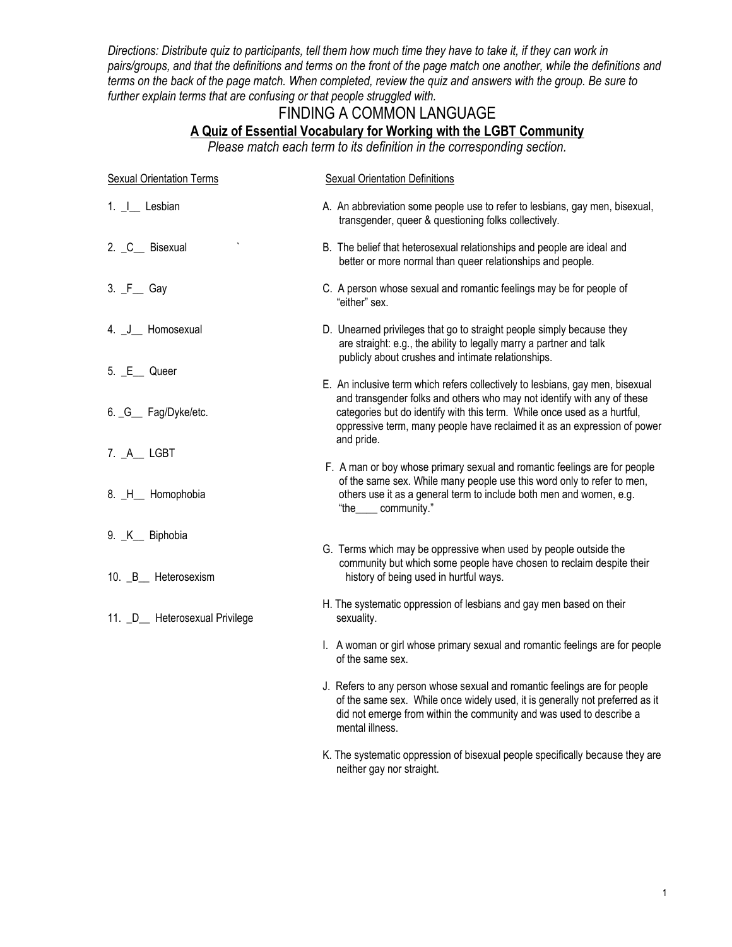*Directions: Distribute quiz to participants, tell them how much time they have to take it, if they can work in pairs/groups, and that the definitions and terms on the front of the page match one another, while the definitions and terms on the back of the page match. When completed, review the quiz and answers with the group. Be sure to further explain terms that are confusing or that people struggled with.* 

## FINDING A COMMON LANGUAGE **A Quiz of Essential Vocabulary for Working with the LGBT Community**

*Please match each term to its definition in the corresponding section.*

| <b>Sexual Orientation Terms</b> | <b>Sexual Orientation Definitions</b>                                                                                                                                                                                                                                                                            |
|---------------------------------|------------------------------------------------------------------------------------------------------------------------------------------------------------------------------------------------------------------------------------------------------------------------------------------------------------------|
| 1. _ I___ Lesbian               | A. An abbreviation some people use to refer to lesbians, gay men, bisexual,<br>transgender, queer & questioning folks collectively.                                                                                                                                                                              |
| 2. C_ Bisexual                  | B. The belief that heterosexual relationships and people are ideal and<br>better or more normal than queer relationships and people.                                                                                                                                                                             |
| 3. F Gay                        | C. A person whose sexual and romantic feelings may be for people of<br>"either" sex.                                                                                                                                                                                                                             |
| 4. J_ Homosexual                | D. Unearned privileges that go to straight people simply because they<br>are straight: e.g., the ability to legally marry a partner and talk<br>publicly about crushes and intimate relationships.                                                                                                               |
| 5. E_ Queer                     |                                                                                                                                                                                                                                                                                                                  |
| 6. _G__ Fag/Dyke/etc.           | E. An inclusive term which refers collectively to lesbians, gay men, bisexual<br>and transgender folks and others who may not identify with any of these<br>categories but do identify with this term. While once used as a hurtful,<br>oppressive term, many people have reclaimed it as an expression of power |
| 7. A LGBT                       | and pride.                                                                                                                                                                                                                                                                                                       |
| 8. H_ Homophobia                | F. A man or boy whose primary sexual and romantic feelings are for people<br>of the same sex. While many people use this word only to refer to men,<br>others use it as a general term to include both men and women, e.g.<br>"the_____ community."                                                              |
| 9. K_ Biphobia                  |                                                                                                                                                                                                                                                                                                                  |
| 10. B_ Heterosexism             | G. Terms which may be oppressive when used by people outside the<br>community but which some people have chosen to reclaim despite their<br>history of being used in hurtful ways.                                                                                                                               |
| 11. _D__ Heterosexual Privilege | H. The systematic oppression of lesbians and gay men based on their<br>sexuality.                                                                                                                                                                                                                                |
|                                 | I. A woman or girl whose primary sexual and romantic feelings are for people<br>of the same sex.                                                                                                                                                                                                                 |
|                                 | J. Refers to any person whose sexual and romantic feelings are for people<br>of the same sex. While once widely used, it is generally not preferred as it<br>did not emerge from within the community and was used to describe a<br>mental illness.                                                              |
|                                 | K. The systematic oppression of bisexual people specifically because they are<br>neither gay nor straight.                                                                                                                                                                                                       |